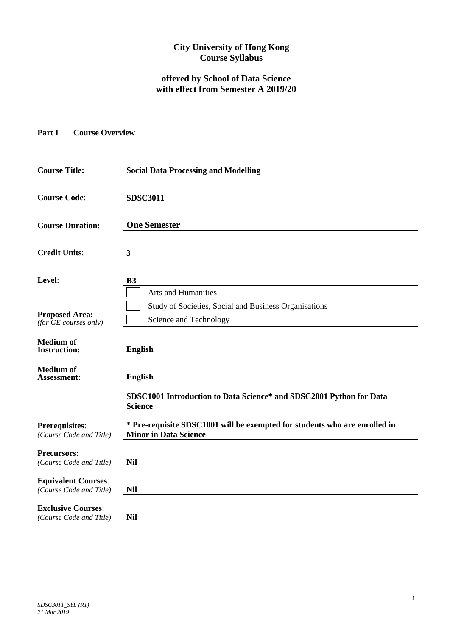## **City University of Hong Kong Course Syllabus**

# **offered by School of Data Science with effect from Semester A 2019/20**

**Part I Course Overview**

| <b>Course Title:</b>                                  | <b>Social Data Processing and Modelling</b>                                                                |  |  |  |  |  |  |
|-------------------------------------------------------|------------------------------------------------------------------------------------------------------------|--|--|--|--|--|--|
| <b>Course Code:</b>                                   | <b>SDSC3011</b>                                                                                            |  |  |  |  |  |  |
| <b>Course Duration:</b>                               | <b>One Semester</b>                                                                                        |  |  |  |  |  |  |
| <b>Credit Units:</b>                                  | 3                                                                                                          |  |  |  |  |  |  |
| Level:                                                | <b>B3</b>                                                                                                  |  |  |  |  |  |  |
| <b>Proposed Area:</b>                                 | Arts and Humanities<br>Study of Societies, Social and Business Organisations                               |  |  |  |  |  |  |
| $(for$ $GE$ courses only)                             | Science and Technology                                                                                     |  |  |  |  |  |  |
| <b>Medium of</b><br><b>Instruction:</b>               | <b>English</b>                                                                                             |  |  |  |  |  |  |
| <b>Medium</b> of<br><b>Assessment:</b>                | <b>English</b>                                                                                             |  |  |  |  |  |  |
|                                                       | SDSC1001 Introduction to Data Science* and SDSC2001 Python for Data<br><b>Science</b>                      |  |  |  |  |  |  |
| <b>Prerequisites:</b><br>(Course Code and Title)      | * Pre-requisite SDSC1001 will be exempted for students who are enrolled in<br><b>Minor in Data Science</b> |  |  |  |  |  |  |
| <b>Precursors:</b><br>(Course Code and Title)         | <b>Nil</b>                                                                                                 |  |  |  |  |  |  |
| <b>Equivalent Courses:</b><br>(Course Code and Title) | <b>Nil</b>                                                                                                 |  |  |  |  |  |  |
| <b>Exclusive Courses:</b><br>(Course Code and Title)  | <b>Nil</b>                                                                                                 |  |  |  |  |  |  |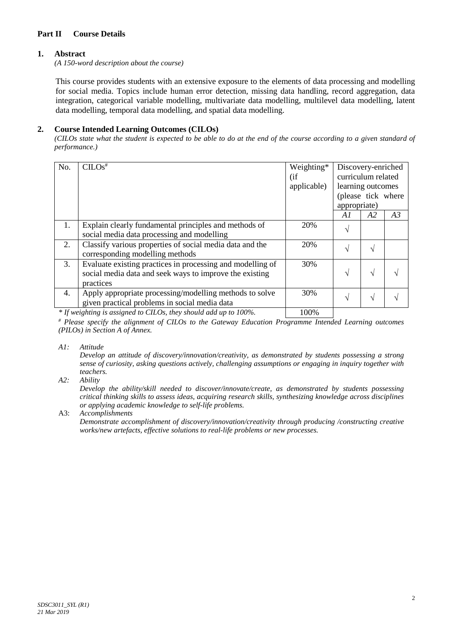## **Part II Course Details**

## **1. Abstract**

*(A 150-word description about the course)*

This course provides students with an extensive exposure to the elements of data processing and modelling for social media. Topics include human error detection, missing data handling, record aggregation, data integration, categorical variable modelling, multivariate data modelling, multilevel data modelling, latent data modelling, temporal data modelling, and spatial data modelling.

### **2. Course Intended Learning Outcomes (CILOs)**

*(CILOs state what the student is expected to be able to do at the end of the course according to a given standard of performance.)*

| No. | $CLOS^{\overline{*}}$                                                                                                              | Weighting*<br>(i f)<br>applicable) | Discovery-enriched<br>curriculum related<br>learning outcomes<br>(please tick where<br>appropriate) |    |    |
|-----|------------------------------------------------------------------------------------------------------------------------------------|------------------------------------|-----------------------------------------------------------------------------------------------------|----|----|
|     |                                                                                                                                    |                                    | A1                                                                                                  | A2 | A3 |
| 1.  | Explain clearly fundamental principles and methods of<br>social media data processing and modelling                                | 20%                                | V                                                                                                   |    |    |
| 2.  | Classify various properties of social media data and the<br>corresponding modelling methods                                        | 20%                                | $\mathcal{L}$                                                                                       | N  |    |
| 3.  | Evaluate existing practices in processing and modelling of<br>social media data and seek ways to improve the existing<br>practices | 30%                                | اد                                                                                                  | V  |    |
| 4.  | Apply appropriate processing/modelling methods to solve<br>given practical problems in social media data                           | 30%                                | N                                                                                                   | N  |    |
|     |                                                                                                                                    |                                    |                                                                                                     |    |    |

*\* If weighting is assigned to CILOs, they should add up to 100%.* 100%

*# Please specify the alignment of CILOs to the Gateway Education Programme Intended Learning outcomes (PILOs) in Section A of Annex.* 

*A1: Attitude* 

*Develop an attitude of discovery/innovation/creativity, as demonstrated by students possessing a strong sense of curiosity, asking questions actively, challenging assumptions or engaging in inquiry together with teachers.*

*A2: Ability*

*Develop the ability/skill needed to discover/innovate/create, as demonstrated by students possessing critical thinking skills to assess ideas, acquiring research skills, synthesizing knowledge across disciplines or applying academic knowledge to self-life problems.*

A3: *Accomplishments*

*Demonstrate accomplishment of discovery/innovation/creativity through producing /constructing creative works/new artefacts, effective solutions to real-life problems or new processes.*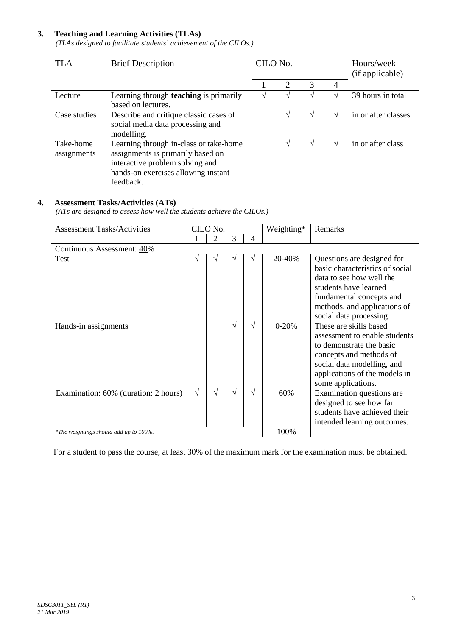## **3. Teaching and Learning Activities (TLAs)**

*(TLAs designed to facilitate students' achievement of the CILOs.)*

| <b>TLA</b>               | <b>Brief Description</b>                                                                                                                                           | CILO No. |  |               | Hours/week<br>(if applicable) |
|--------------------------|--------------------------------------------------------------------------------------------------------------------------------------------------------------------|----------|--|---------------|-------------------------------|
|                          |                                                                                                                                                                    | 2        |  | 4             |                               |
| Lecture                  | Learning through <b>teaching</b> is primarily                                                                                                                      |          |  |               | 39 hours in total             |
|                          | based on lectures.                                                                                                                                                 |          |  |               |                               |
| Case studies             | Describe and critique classic cases of<br>social media data processing and<br>modelling.                                                                           |          |  |               | in or after classes           |
| Take-home<br>assignments | Learning through in-class or take-home<br>assignments is primarily based on<br>interactive problem solving and<br>hands-on exercises allowing instant<br>feedback. |          |  | $\mathcal{L}$ | in or after class             |

## **4. Assessment Tasks/Activities (ATs)**

*(ATs are designed to assess how well the students achieve the CILOs.)*

| <b>Assessment Tasks/Activities</b>      | CILO No.    |  |    |  | Weighting* |                                                                                                                                                                                                           | Remarks |
|-----------------------------------------|-------------|--|----|--|------------|-----------------------------------------------------------------------------------------------------------------------------------------------------------------------------------------------------------|---------|
|                                         | 2<br>3<br>4 |  |    |  |            |                                                                                                                                                                                                           |         |
| Continuous Assessment: 40%              |             |  |    |  |            |                                                                                                                                                                                                           |         |
| Test                                    | V           |  |    |  | 20-40%     | Questions are designed for<br>basic characteristics of social<br>data to see how well the<br>students have learned<br>fundamental concepts and<br>methods, and applications of<br>social data processing. |         |
| Hands-in assignments                    |             |  | ٦Ι |  | $0 - 20%$  | These are skills based<br>assessment to enable students<br>to demonstrate the basic<br>concepts and methods of<br>social data modelling, and<br>applications of the models in<br>some applications.       |         |
| Examination: $60\%$ (duration: 2 hours) | V           |  |    |  | 60%        | Examination questions are<br>designed to see how far<br>students have achieved their<br>intended learning outcomes.                                                                                       |         |
| *The weightings should add up to 100%.  |             |  |    |  | 100%       |                                                                                                                                                                                                           |         |

For a student to pass the course, at least 30% of the maximum mark for the examination must be obtained.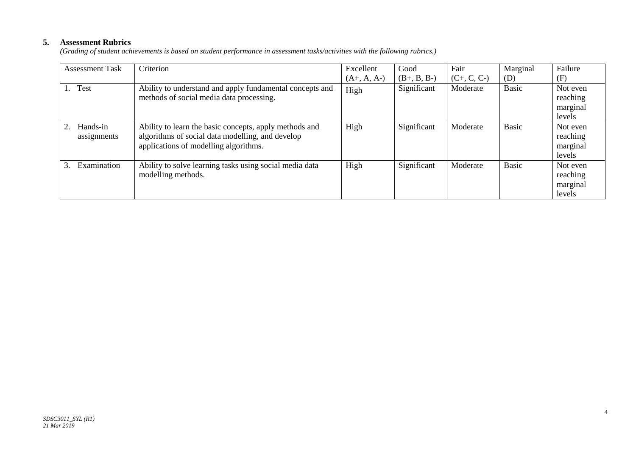## **5. Assessment Rubrics**

*(Grading of student achievements is based on student performance in assessment tasks/activities with the following rubrics.)*

| <b>Assessment Task</b>        | Criterion                                                                                                                                           | Excellent     | Good          | Fair          | Marginal     | Failure                                    |
|-------------------------------|-----------------------------------------------------------------------------------------------------------------------------------------------------|---------------|---------------|---------------|--------------|--------------------------------------------|
|                               |                                                                                                                                                     | $(A+, A, A-)$ | $(B+, B, B-)$ | $(C+, C, C-)$ | (D)          | (F)                                        |
| Test                          | Ability to understand and apply fundamental concepts and<br>methods of social media data processing.                                                | High          | Significant   | Moderate      | <b>Basic</b> | Not even<br>reaching<br>marginal<br>levels |
| Hands-in<br>2.<br>assignments | Ability to learn the basic concepts, apply methods and<br>algorithms of social data modelling, and develop<br>applications of modelling algorithms. | High          | Significant   | Moderate      | <b>Basic</b> | Not even<br>reaching<br>marginal<br>levels |
| Examination<br>3.             | Ability to solve learning tasks using social media data<br>modelling methods.                                                                       | High          | Significant   | Moderate      | <b>Basic</b> | Not even<br>reaching<br>marginal<br>levels |